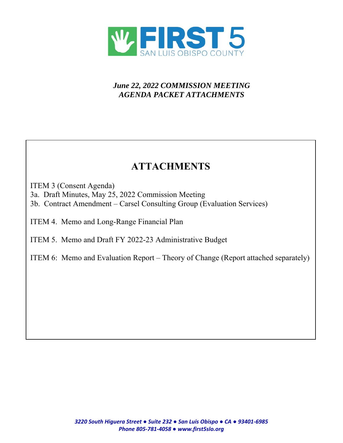

# *June 22, 2022 COMMISSION MEETING AGENDA PACKET ATTACHMENTS*

# **ATTACHMENTS**

ITEM 3 (Consent Agenda)

3a. Draft Minutes, May 25, 2022 Commission Meeting

3b. Contract Amendment – Carsel Consulting Group (Evaluation Services)

ITEM 4. Memo and Long-Range Financial Plan

ITEM 5. Memo and Draft FY 2022-23 Administrative Budget

ITEM 6: Memo and Evaluation Report – Theory of Change (Report attached separately)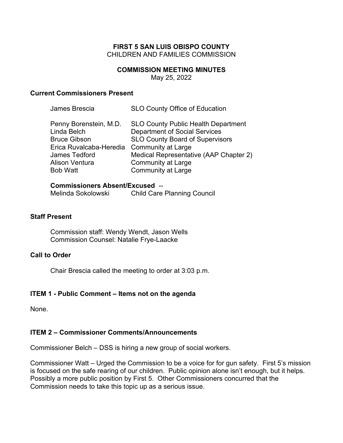#### **FIRST 5 SAN LUIS OBISPO COUNTY**  CHILDREN AND FAMILIES COMMISSION

#### **COMMISSION MEETING MINUTES**

May 25, 2022

#### **Current Commissioners Present**

| James Brescia           | <b>SLO County Office of Education</b>      |
|-------------------------|--------------------------------------------|
| Penny Borenstein, M.D.  | <b>SLO County Public Health Department</b> |
| Linda Belch             | <b>Department of Social Services</b>       |
| <b>Bruce Gibson</b>     | <b>SLO County Board of Supervisors</b>     |
| Erica Ruvalcaba-Heredia | <b>Community at Large</b>                  |
| <b>James Tedford</b>    | Medical Representative (AAP Chapter 2)     |
| <b>Alison Ventura</b>   | <b>Community at Large</b>                  |
| <b>Bob Watt</b>         | <b>Community at Large</b>                  |
|                         |                                            |

# **Commissioners Absent/Excused** --

Melinda Sokolowski Child Care Planning Council

## **Staff Present**

Commission staff: Wendy Wendt, Jason Wells Commission Counsel: Natalie Frye-Laacke

#### **Call to Order**

Chair Brescia called the meeting to order at 3:03 p.m.

#### **ITEM 1 - Public Comment – Items not on the agenda**

None.

#### **ITEM 2 – Commissioner Comments/Announcements**

Commissioner Belch – DSS is hiring a new group of social workers.

Commissioner Watt – Urged the Commission to be a voice for for gun safety. First 5's mission is focused on the safe rearing of our children. Public opinion alone isn't enough, but it helps. Possibly a more public position by First 5. Other Commissioners concurred that the Commission needs to take this topic up as a serious issue.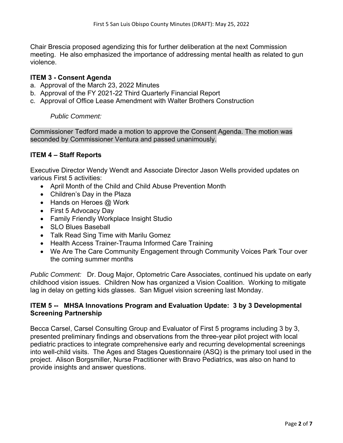Chair Brescia proposed agendizing this for further deliberation at the next Commission meeting. He also emphasized the importance of addressing mental health as related to gun violence.

#### **ITEM 3 - Consent Agenda**

- a. Approval of the March 23, 2022 Minutes
- b. Approval of the FY 2021-22 Third Quarterly Financial Report
- c. Approval of Office Lease Amendment with Walter Brothers Construction

*Public Comment:* 

Commissioner Tedford made a motion to approve the Consent Agenda. The motion was seconded by Commissioner Ventura and passed unanimously.

## **ITEM 4 – Staff Reports**

Executive Director Wendy Wendt and Associate Director Jason Wells provided updates on various First 5 activities:

- April Month of the Child and Child Abuse Prevention Month
- Children's Day in the Plaza
- Hands on Heroes @ Work
- First 5 Advocacy Day
- Family Friendly Workplace Insight Studio
- SLO Blues Baseball
- Talk Read Sing Time with Marilu Gomez
- Health Access Trainer-Trauma Informed Care Training
- We Are The Care Community Engagement through Community Voices Park Tour over the coming summer months

*Public Comment:* Dr. Doug Major, Optometric Care Associates, continued his update on early childhood vision issues. Children Now has organized a Vision Coalition. Working to mitigate lag in delay on getting kids glasses. San Miguel vision screening last Monday.

## **ITEM 5 -- MHSA Innovations Program and Evaluation Update: 3 by 3 Developmental Screening Partnership**

Becca Carsel, Carsel Consulting Group and Evaluator of First 5 programs including 3 by 3, presented preliminary findings and observations from the three-year pilot project with local pediatric practices to integrate comprehensive early and recurring developmental screenings into well-child visits. The Ages and Stages Questionnaire (ASQ) is the primary tool used in the project. Alison Borgsmiller, Nurse Practitioner with Bravo Pediatrics, was also on hand to provide insights and answer questions.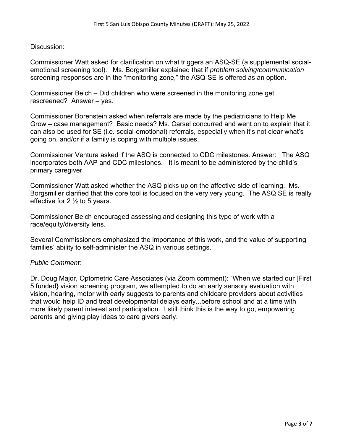#### Discussion:

Commissioner Watt asked for clarification on what triggers an ASQ-SE (a supplemental socialemotional screening tool). Ms. Borgsmiller explained that if *problem solving/communication* screening responses are in the "monitoring zone," the ASQ-SE is offered as an option.

Commissioner Belch – Did children who were screened in the monitoring zone get rescreened? Answer – yes.

Commissioner Borenstein asked when referrals are made by the pediatricians to Help Me Grow – case management? Basic needs? Ms. Carsel concurred and went on to explain that it can also be used for SE (i.e. social-emotional) referrals, especially when it's not clear what's going on, and/or if a family is coping with multiple issues.

Commissioner Ventura asked if the ASQ is connected to CDC milestones. Answer: The ASQ incorporates both AAP and CDC milestones. It is meant to be administered by the child's primary caregiver.

Commissioner Watt asked whether the ASQ picks up on the affective side of learning. Ms. Borgsmiller clarified that the core tool is focused on the very very young. The ASQ SE is really effective for 2  $\frac{1}{2}$  to 5 years.

Commissioner Belch encouraged assessing and designing this type of work with a race/equity/diversity lens.

Several Commissioners emphasized the importance of this work, and the value of supporting families' ability to self-administer the ASQ in various settings.

#### *Public Comment:*

Dr. Doug Major, Optometric Care Associates (via Zoom comment): "When we started our [First 5 funded} vision screening program, we attempted to do an early sensory evaluation with vision, hearing, motor with early suggests to parents and childcare providers about activities that would help ID and treat developmental delays early...before school and at a time with more likely parent interest and participation. I still think this is the way to go, empowering parents and giving play ideas to care givers early.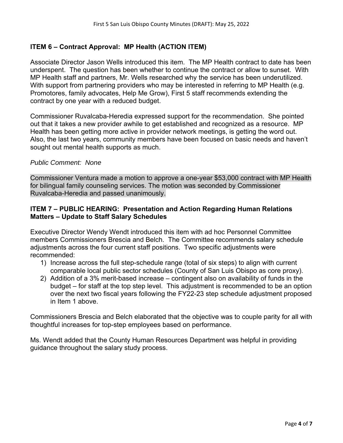# **ITEM 6 – Contract Approval: MP Health (ACTION ITEM)**

Associate Director Jason Wells introduced this item. The MP Health contract to date has been underspent. The question has been whether to continue the contract or allow to sunset. With MP Health staff and partners, Mr. Wells researched why the service has been underutilized. With support from partnering providers who may be interested in referring to MP Health (e.g. Promotores, family advocates, Help Me Grow), First 5 staff recommends extending the contract by one year with a reduced budget.

Commissioner Ruvalcaba-Heredia expressed support for the recommendation. She pointed out that it takes a new provider awhile to get established and recognized as a resource. MP Health has been getting more active in provider network meetings, is getting the word out. Also, the last two years, community members have been focused on basic needs and haven't sought out mental health supports as much.

#### *Public Comment: None*

Commissioner Ventura made a motion to approve a one-year \$53,000 contract with MP Health for bilingual family counseling services. The motion was seconded by Commissioner Ruvalcaba-Heredia and passed unanimously.

## **ITEM 7 – PUBLIC HEARING: Presentation and Action Regarding Human Relations Matters – Update to Staff Salary Schedules**

Executive Director Wendy Wendt introduced this item with ad hoc Personnel Committee members Commissioners Brescia and Belch. The Committee recommends salary schedule adjustments across the four current staff positions. Two specific adjustments were recommended:

- 1) Increase across the full step-schedule range (total of six steps) to align with current comparable local public sector schedules (County of San Luis Obispo as core proxy).
- 2) Addition of a 3% merit-based increase contingent also on availability of funds in the budget – for staff at the top step level. This adjustment is recommended to be an option over the next two fiscal years following the FY22-23 step schedule adjustment proposed in Item 1 above.

Commissioners Brescia and Belch elaborated that the objective was to couple parity for all with thoughtful increases for top-step employees based on performance.

Ms. Wendt added that the County Human Resources Department was helpful in providing guidance throughout the salary study process.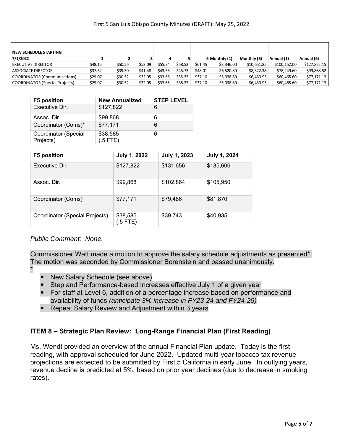| <b>INEW SCHEDULE STARTING</b><br>7/1/2022 |         |         |         |         |         |         | 6 Monthly (1) | Monthly (6) | Annual (1)   | Annual (6)   |
|-------------------------------------------|---------|---------|---------|---------|---------|---------|---------------|-------------|--------------|--------------|
| <b>I EXECUTIVE DIRECTOR</b>               | \$48.15 | \$50.56 | \$53.09 | \$55.74 | \$58.53 | \$61.45 | \$8,346.00    | \$10,651.85 | \$100,152.00 | \$127.822.15 |
| LASSOCIATE DIRECTOR                       | \$37.62 | \$39.50 | \$41.48 | \$43.55 | \$45.73 | \$48.01 | \$6,520.80    | \$8,322.38  | \$78,249.60  | \$99,868.52  |
| COORDINATOR (Communications)              | \$29.07 | \$30.52 | \$32.05 | \$33.65 | \$35.33 | \$37.10 | \$5,038.80    | \$6,430.93  | \$60,465.60  | \$77.171.13  |
| COORDINATOR (Special Projects)            | \$29.07 | \$30.52 | \$32.05 | \$33.65 | \$35.33 | \$37.10 | \$5,038.80    | \$6,430.93  | \$60,465.60  | \$77,171.13  |

| <b>F5 position</b>                | <b>New Annualized</b>  | <b>STEP LEVEL</b> |
|-----------------------------------|------------------------|-------------------|
| Executive Dir.                    | \$127,822              | 6                 |
| Assoc. Dir.                       | \$99,868               | 6                 |
| Coordinator (Coms)*               | \$77,171               | 6                 |
| Coordinator (Special<br>Projects) | \$38,585<br>$(.5$ FTE) | 6                 |

| <b>F5 position</b>             | <b>July 1, 2022</b>   | July 1, 2023 | July 1, 2024 |
|--------------------------------|-----------------------|--------------|--------------|
| Executive Dir.                 | \$127,822             | \$131,656    | \$135,606    |
| Assoc. Dir.                    | \$99,868              | \$102,864    | \$105,950    |
| Coordinator (Coms)             | \$77,171              | \$79,486     | \$81,870     |
| Coordinator (Special Projects) | \$38,585<br>$(5$ FTE) | \$39,743     | \$40,935     |

*Public Comment: None.* 

Commissioner Watt made a motion to approve the salary schedule adjustments as presented\*. The motion was seconded by Commissioner Borenstein and passed unanimously.

- \*
- New Salary Schedule (see above)
- Step and Performance-based Increases effective July 1 of a given year
- For staff at Level 6, addition of a percentage increase based on performance and availability of funds *(anticipate 3% increase in FY23-24 and FY24-25)*
- Repeat Salary Review and Adjustment within 3 years

# **ITEM 8 – Strategic Plan Review: Long-Range Financial Plan (First Reading)**

Ms. Wendt provided an overview of the annual Financial Plan update. Today is the first reading, with approval scheduled for June 2022. Updated multi-year tobacco tax revenue projections are expected to be submitted by First 5 California in early June. In outlying years, revenue decline is predicted at 5%, based on prior year declines (due to decrease in smoking rates).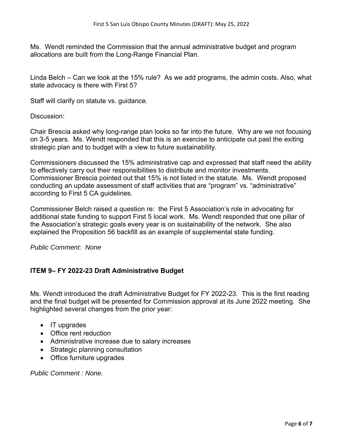Ms. Wendt reminded the Commission that the annual administrative budget and program allocations are built from the Long-Range Financial Plan.

Linda Belch – Can we look at the 15% rule? As we add programs, the admin costs. Also, what state advocacy is there with First 5?

Staff will clarify on statute vs. guidance.

Discussion:

Chair Brescia asked why long-range plan looks so far into the future. Why are we not focusing on 3-5 years. Ms. Wendt responded that this is an exercise to anticipate out past the exiting strategic plan and to budget with a view to future sustainability.

Commissioners discussed the 15% administrative cap and expressed that staff need the ability to effectively carry out their responsibilities to distribute and monitor investments. Commissioner Brescia pointed out that 15% is not listed in the statute. Ms. Wendt proposed conducting an update assessment of staff activities that are "program" vs. "administrative" according to First 5 CA guidelines.

Commissioner Belch raised a question re: the First 5 Association's role in advocating for additional state funding to support First 5 local work. Ms. Wendt responded that one pillar of the Association's strategic goals every year is on sustainability of the network. She also explained the Proposition 56 backfill as an example of supplemental state funding.

*Public Comment: None* 

# **ITEM 9– FY 2022-23 Draft Administrative Budget**

Ms. Wendt introduced the draft Administrative Budget for FY 2022-23. This is the first reading and the final budget will be presented for Commission approval at its June 2022 meeting. She highlighted several changes from the prior year:

- IT upgrades
- Office rent reduction
- Administrative increase due to salary increases
- Strategic planning consultation
- Office furniture upgrades

*Public Comment : None.*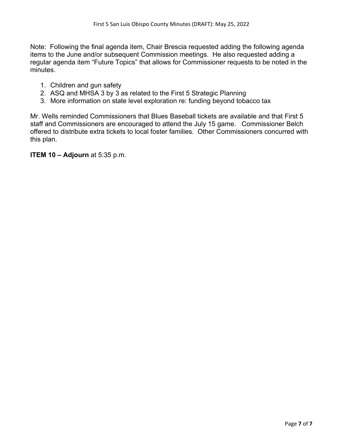Note: Following the final agenda item, Chair Brescia requested adding the following agenda items to the June and/or subsequent Commission meetings. He also requested adding a regular agenda item "Future Topics" that allows for Commissioner requests to be noted in the minutes.

- 1. Children and gun safety
- 2. ASQ and MHSA 3 by 3 as related to the First 5 Strategic Planning
- 3. More information on state level exploration re: funding beyond tobacco tax

Mr. Wells reminded Commissioners that Blues Baseball tickets are available and that First 5 staff and Commissioners are encouraged to attend the July 15 game. Commissioner Belch offered to distribute extra tickets to local foster families. Other Commissioners concurred with this plan.

**ITEM 10 – Adjourn** at 5:35 p.m.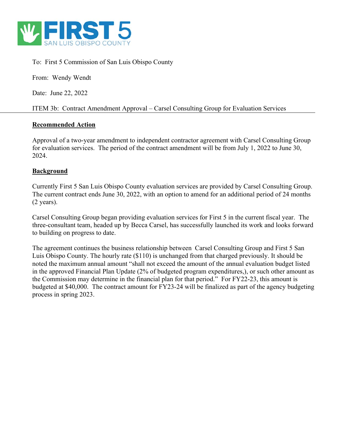

To: First 5 Commission of San Luis Obispo County

From: Wendy Wendt

Date: June 22, 2022

ITEM 3b: Contract Amendment Approval – Carsel Consulting Group for Evaluation Services

## **Recommended Action**

Approval of a two-year amendment to independent contractor agreement with Carsel Consulting Group for evaluation services. The period of the contract amendment will be from July 1, 2022 to June 30, 2024.

## **Background**

Currently First 5 San Luis Obispo County evaluation services are provided by Carsel Consulting Group. The current contract ends June 30, 2022, with an option to amend for an additional period of 24 months (2 years).

Carsel Consulting Group began providing evaluation services for First 5 in the current fiscal year. The three-consultant team, headed up by Becca Carsel, has successfully launched its work and looks forward to building on progress to date.

The agreement continues the business relationship between Carsel Consulting Group and First 5 San Luis Obispo County. The hourly rate (\$110) is unchanged from that charged previously. It should be noted the maximum annual amount "shall not exceed the amount of the annual evaluation budget listed in the approved Financial Plan Update (2% of budgeted program expenditures,), or such other amount as the Commission may determine in the financial plan for that period." For FY22-23, this amount is budgeted at \$40,000. The contract amount for FY23-24 will be finalized as part of the agency budgeting process in spring 2023.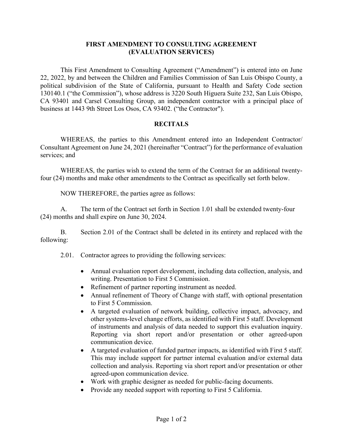#### **FIRST AMENDMENT TO CONSULTING AGREEMENT (EVALUATION SERVICES)**

This First Amendment to Consulting Agreement ("Amendment") is entered into on June 22, 2022, by and between the Children and Families Commission of San Luis Obispo County, a political subdivision of the State of California, pursuant to Health and Safety Code section 130140.1 ("the Commission"), whose address is 3220 South Higuera Suite 232, San Luis Obispo, CA 93401 and Carsel Consulting Group, an independent contractor with a principal place of business at 1443 9th Street Los Osos, CA 93402. ("the Contractor").

## **RECITALS**

WHEREAS, the parties to this Amendment entered into an Independent Contractor/ Consultant Agreement on June 24, 2021 (hereinafter "Contract") for the performance of evaluation services; and

 WHEREAS, the parties wish to extend the term of the Contract for an additional twentyfour (24) months and make other amendments to the Contract as specifically set forth below.

NOW THEREFORE, the parties agree as follows:

A. The term of the Contract set forth in Section 1.01 shall be extended twenty-four (24) months and shall expire on June 30, 2024.

B. Section 2.01 of the Contract shall be deleted in its entirety and replaced with the following:

2.01. Contractor agrees to providing the following services:

- Annual evaluation report development, including data collection, analysis, and writing. Presentation to First 5 Commission.
- Refinement of partner reporting instrument as needed.
- Annual refinement of Theory of Change with staff, with optional presentation to First 5 Commission.
- A targeted evaluation of network building, collective impact, advocacy, and other systems-level change efforts, as identified with First 5 staff. Development of instruments and analysis of data needed to support this evaluation inquiry. Reporting via short report and/or presentation or other agreed-upon communication device.
- A targeted evaluation of funded partner impacts, as identified with First 5 staff. This may include support for partner internal evaluation and/or external data collection and analysis. Reporting via short report and/or presentation or other agreed-upon communication device.
- Work with graphic designer as needed for public-facing documents.
- Provide any needed support with reporting to First 5 California.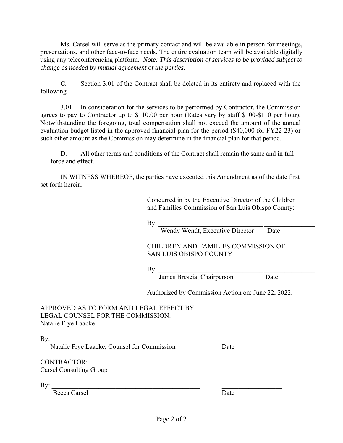Ms. Carsel will serve as the primary contact and will be available in person for meetings, presentations, and other face-to-face needs. The entire evaluation team will be available digitally using any teleconferencing platform. *Note: This description of services to be provided subject to change as needed by mutual agreement of the parties.*

C. Section 3.01 of the Contract shall be deleted in its entirety and replaced with the following

3.01 In consideration for the services to be performed by Contractor, the Commission agrees to pay to Contractor up to \$110.00 per hour (Rates vary by staff \$100-\$110 per hour). Notwithstanding the foregoing, total compensation shall not exceed the amount of the annual evaluation budget listed in the approved financial plan for the period (\$40,000 for FY22-23) or such other amount as the Commission may determine in the financial plan for that period.

 D. All other terms and conditions of the Contract shall remain the same and in full force and effect.

IN WITNESS WHEREOF, the parties have executed this Amendment as of the date first set forth herein.

> Concurred in by the Executive Director of the Children and Families Commission of San Luis Obispo County:

 $\mathbf{By:}$ 

Wendy Wendt, Executive Director Date

#### CHILDREN AND FAMILIES COMMISSION OF SAN LUIS OBISPO COUNTY

 $\mathbf{By:}$ James Brescia, Chairperson Date

Authorized by Commission Action on: June 22, 2022.

APPROVED AS TO FORM AND LEGAL EFFECT BY LEGAL COUNSEL FOR THE COMMISSION: Natalie Frye Laacke

 $\text{By:}$ 

Natalie Frye Laacke, Counsel for Commission Date

CONTRACTOR: Carsel Consulting Group

 $\text{By:}$ 

Becca Carsel Date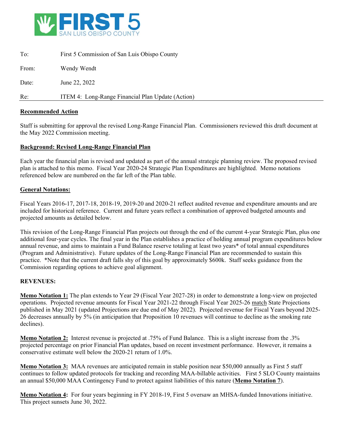

| To:   | First 5 Commission of San Luis Obispo County      |
|-------|---------------------------------------------------|
| From: | Wendy Wendt                                       |
| Date: | June 22, 2022                                     |
| Re:   | ITEM 4: Long-Range Financial Plan Update (Action) |

#### **Recommended Action**

Staff is submitting for approval the revised Long-Range Financial Plan. Commissioners reviewed this draft document at the May 2022 Commission meeting.

#### **Background: Revised Long-Range Financial Plan**

Each year the financial plan is revised and updated as part of the annual strategic planning review. The proposed revised plan is attached to this memo. Fiscal Year 2020-24 Strategic Plan Expenditures are highlighted. Memo notations referenced below are numbered on the far left of the Plan table.

#### **General Notations:**

Fiscal Years 2016-17, 2017-18, 2018-19, 2019-20 and 2020-21 reflect audited revenue and expenditure amounts and are included for historical reference. Current and future years reflect a combination of approved budgeted amounts and projected amounts as detailed below.

This revision of the Long-Range Financial Plan projects out through the end of the current 4-year Strategic Plan, plus one additional four-year cycles. The final year in the Plan establishes a practice of holding annual program expenditures below annual revenue, and aims to maintain a Fund Balance reserve totaling at least two years\* of total annual expenditures (Program and Administrative). Future updates of the Long-Range Financial Plan are recommended to sustain this practice. \*Note that the current draft falls shy of this goal by approximately \$600k. Staff seeks guidance from the Commission regarding options to achieve goal alignment.

#### **REVENUES:**

**Memo Notation 1:** The plan extends to Year 29 (Fiscal Year 2027-28) in order to demonstrate a long-view on projected operations. Projected revenue amounts for Fiscal Year 2021-22 through Fiscal Year 2025-26 match State Projections published in May 2021 (updated Projections are due end of May 2022). Projected revenue for Fiscal Years beyond 2025- 26 decreases annually by 5% (in anticipation that Proposition 10 revenues will continue to decline as the smoking rate declines).

**Memo Notation 2:** Interest revenue is projected at .75% of Fund Balance. This is a slight increase from the .3% projected percentage on prior Financial Plan updates, based on recent investment performance. However, it remains a conservative estimate well below the 2020-21 return of 1.0%.

**Memo Notation 3:** MAA revenues are anticipated remain in stable position near \$50,000 annually as First 5 staff continues to follow updated protocols for tracking and recording MAA-billable activities. First 5 SLO County maintains an annual \$50,000 MAA Contingency Fund to protect against liabilities of this nature (**Memo Notation 7**).

**Memo Notation 4:** For four years beginning in FY 2018-19, First 5 oversaw an MHSA-funded Innovations initiative. This project sunsets June 30, 2022.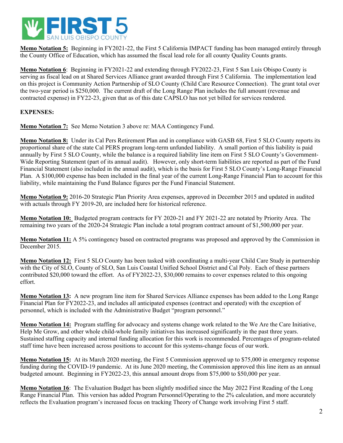

**Memo Notation 5:** Beginning in FY2021-22, the First 5 California IMPACT funding has been managed entirely through the County Office of Education, which has assumed the fiscal lead role for all county Quality Counts grants.

**Memo Notation 6**: Beginning in FY2021-22 and extending through FY2022-23, First 5 San Luis Obispo County is serving as fiscal lead on at Shared Services Alliance grant awarded through First 5 California. The implementation lead on this project is Community Action Partnership of SLO County (Child Care Resource Connection). The grant total over the two-year period is \$250,000. The current draft of the Long Range Plan includes the full amount (revenue and contracted expense) in FY22-23, given that as of this date CAPSLO has not yet billed for services rendered.

## **EXPENSES:**

**Memo Notation 7:** See Memo Notation 3 above re: MAA Contingency Fund.

**Memo Notation 8:** Under its Cal Pers Retirement Plan and in compliance with GASB 68, First 5 SLO County reports its proportional share of the state Cal PERS program long-term unfunded liability. A small portion of this liability is paid annually by First 5 SLO County, while the balance is a required liability line item on First 5 SLO County's Government-Wide Reporting Statement (part of its annual audit). However, only short-term liabilities are reported as part of the Fund Financial Statement (also included in the annual audit), which is the basis for First 5 SLO County's Long-Range Financial Plan. A \$100,000 expense has been included in the final year of the current Long-Range Financial Plan to account for this liability, while maintaining the Fund Balance figures per the Fund Financial Statement.

**Memo Notation 9:** 2016-20 Strategic Plan Priority Area expenses, approved in December 2015 and updated in audited with actuals through FY 2019-20, are included here for historical reference.

**Memo Notation 10:** Budgeted program contracts for FY 2020-21 and FY 2021-22 are notated by Priority Area. The remaining two years of the 2020-24 Strategic Plan include a total program contract amount of \$1,500,000 per year.

**Memo Notation 11:** A 5% contingency based on contracted programs was proposed and approved by the Commission in December 2015.

**Memo Notation 12:** First 5 SLO County has been tasked with coordinating a multi-year Child Care Study in partnership with the City of SLO, County of SLO, San Luis Coastal Unified School District and Cal Poly. Each of these partners contributed \$20,000 toward the effort. As of FY2022-23, \$30,000 remains to cover expenses related to this ongoing effort.

**Memo Notation 13:** A new program line item for Shared Services Alliance expenses has been added to the Long Range Financial Plan for FY2022-23, and includes all anticipated expenses (contract and operated) with the exception of personnel, which is included with the Administrative Budget "program personnel."

**Memo Notation 14:** Program staffing for advocacy and systems change work related to the We Are the Care Initiative, Help Me Grow, and other whole child-whole family initiatives has increased significantly in the past three years. Sustained staffing capacity and internal funding allocation for this work is recommended. Percentages of program-related staff time have been increased across positions to account for this systems-change focus of our work.

**Memo Notation 15:** At its March 2020 meeting, the First 5 Commission approved up to \$75,000 in emergency response funding during the COVID-19 pandemic. At its June 2020 meeting, the Commission approved this line item as an annual budgeted amount. Beginning in FY2022-23, this annual amount drops from \$75,000 to \$50,000 per year.

**Memo Notation 16**: The Evaluation Budget has been slightly modified since the May 2022 First Reading of the Long Range Financial Plan. This version has added Program Personnel/Operating to the 2% calculation, and more accurately reflects the Evaluation program's increased focus on tracking Theory of Change work involving First 5 staff.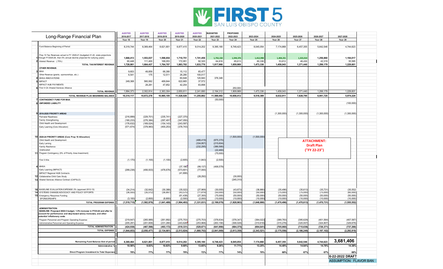

|    |                                                                                                                                               | <b>AUDITED</b>          | <b>AUDITED</b>           | <b>AUDITED</b>           | <b>AUDITED</b>          | <b>AUDITED</b>           | <b>BUDGETED</b>           | <b>PROPOSED</b>         |                         |                         |                         |                           |                               |  |
|----|-----------------------------------------------------------------------------------------------------------------------------------------------|-------------------------|--------------------------|--------------------------|-------------------------|--------------------------|---------------------------|-------------------------|-------------------------|-------------------------|-------------------------|---------------------------|-------------------------------|--|
|    | Long-Range Financial Plan                                                                                                                     | 2016-2017<br>Year 18    | 2017-2018<br>Year 19     | 2018-2019<br>Year 20     | 2019-2020<br>Year 21    | 2020-2021<br>Year 22     | 2021-2022<br>Year 23      | 2022-2023<br>Year 24    | 2023-2024<br>Year 25    | 2024-2025<br>Year 26    | 2025-2026<br>Year 27    | 2026-2027<br>Year 28      | 2027-2028<br>Year 29          |  |
|    |                                                                                                                                               |                         |                          |                          |                         |                          |                           |                         |                         |                         |                         |                           |                               |  |
|    | Fund Balance Beginning of Period                                                                                                              | 8,319,744               | 8,369,464                | 8,621,801                | 8,877,415               | 9,014,202                | 9,395,180                 | 8,748,423               | 8,045,054               | 7,174,868               | 6,457,355               | 5,642,546                 | 4,744,623                     |  |
|    |                                                                                                                                               |                         |                          |                          |                         |                          |                           |                         |                         |                         |                         |                           |                               |  |
|    | Prop 10 Tax Revenues actual to FY 2020-21 (budgeted 21-22, state projections                                                                  |                         |                          |                          |                         |                          |                           |                         |                         |                         |                         |                           |                               |  |
|    | through FY2025-26, then 5% annual decline projected for outlying years)                                                                       | 1,668,413               | 1,553,037                | 1,596,654                | 1,710,751               | 1,741,456                | 1,753,150                 | 1,594,376               | 1,412,998               | 1,404,231               | 1,323,010               | 1,256,860                 | 1,194,017                     |  |
|    | Interest Revenue (.75%)                                                                                                                       | 60,448                  | 111,400                  | 168,053                  | 172,951                 | 92,320                   | 64,816                    | 65,613                  | 60,338                  | 53,812                  | 48,430                  | 42,319                    | 35,585                        |  |
|    | TOTAL TAX/INTEREST REVENUE                                                                                                                    | 1,728,861               | 1,664,437                | 1,764,707                | 1,883,702               | 1,833,776                | 1,817,966                 | 1,659,989               | 1,473,336               | 1,458,043               | 1,371,440               | 1,299,179                 | 1,229,601                     |  |
|    | <b>OTHER REVENUE:</b>                                                                                                                         |                         |                          |                          |                         |                          |                           |                         |                         |                         |                         |                           |                               |  |
|    | MAA                                                                                                                                           | 9,603                   | 49,859                   | 68,390                   | 15,112                  | 65,477                   |                           |                         |                         |                         |                         |                           |                               |  |
|    | Other Revenue (grants, sponsorships, etc.)<br>MHSA INNOVATIONS                                                                                | 6,54'                   | 175                      | 12,511                   | 26,280<br>60,648        | 100,017<br>120,940       | 376,346                   |                         |                         |                         |                         |                           |                               |  |
|    | <b>IMPACT</b>                                                                                                                                 | 249,368                 | 560,062                  | 469,844                  | 622,665                 | 37,572                   |                           |                         |                         |                         |                         |                           |                               |  |
|    | <b>IMPACT HUB PAYMENTS</b>                                                                                                                    |                         | 28,28                    | 47,852                   | 42,204                  | 83,898                   |                           |                         |                         |                         |                         |                           |                               |  |
|    | First 5 CA Shared Services Alliance                                                                                                           |                         |                          |                          |                         |                          |                           | 250,000                 |                         |                         |                         |                           |                               |  |
|    | <b>TOTAL REVENUE</b>                                                                                                                          | 1,994,37                | 2,302,81                 | 2,363,304                | 2,650,611               | 2,241,680                | 2,194,312                 | 1,909,989               | 1,473,336               | 1,458,043               | 1,371,440               | 1,299,179                 | 1,229,601                     |  |
|    | TOTAL REVENUE PLUS BEGINNING BALANCE                                                                                                          | 10,314,117              | 10,672,278               | 10,985,105               | 11,528,026              | 11,255,882               | 11,589,492                | 10,658,412              | 9,518,389               | 8,632,91                | 7,828,795               | 6,941,725                 | 5,974,224                     |  |
|    | <b>CONTINGENCY FUND FOR MAA</b>                                                                                                               |                         |                          |                          |                         |                          | (50,000)                  |                         |                         |                         |                         |                           |                               |  |
|    | <b>UNFUNDED LIABILITY</b>                                                                                                                     |                         |                          |                          |                         |                          |                           |                         |                         |                         |                         |                           | (100,000)                     |  |
|    |                                                                                                                                               |                         |                          |                          |                         |                          |                           |                         |                         |                         |                         |                           |                               |  |
|    |                                                                                                                                               |                         |                          |                          |                         |                          |                           |                         |                         |                         |                         |                           |                               |  |
|    | 2016-2020 PRIORITY AREAS                                                                                                                      |                         |                          |                          |                         |                          |                           |                         |                         | (1,300,000)             | (1,300,000)             | (1,300,000)               | (1,300,000)                   |  |
|    | Perinatal Readiness<br>Family Strengthening                                                                                                   | (216, 899)<br>(180,233  | (229, 701)<br>(276, 384) | (235, 741)<br>(297, 491) | (227, 370)<br>(347,050) |                          |                           |                         |                         |                         |                         |                           |                               |  |
|    | Child Health and Development                                                                                                                  | (176, 632)              | (169, 024)               | (154, 143)               | (243, 597)              |                          |                           |                         |                         |                         |                         |                           |                               |  |
|    | Early Learning (Core Allocation)                                                                                                              | (571, 674)              | (378, 983)               | (400, 253)               | (378, 743)              |                          |                           |                         |                         |                         |                         |                           |                               |  |
|    |                                                                                                                                               |                         |                          |                          |                         |                          |                           |                         |                         |                         |                         |                           |                               |  |
|    |                                                                                                                                               |                         |                          |                          |                         |                          |                           |                         |                         |                         |                         |                           |                               |  |
|    | 10 2020-24 PRIORITY AREAS (Core Prop 10 Allocation)<br>Chlid Health and Development                                                           |                         |                          |                          |                         | (488, 419)               |                           | (1,500,000)             | (1,500,000)             |                         |                         |                           |                               |  |
|    | Early Larning                                                                                                                                 |                         |                          |                          |                         | (334, 957)               | (875, 370)<br>(215, 604)  |                         |                         |                         |                         | <b>ATTACHMENT:</b>        |                               |  |
|    | <b>Family Resilience</b>                                                                                                                      |                         |                          |                          |                         | (232, 295)               | (386, 566)                |                         |                         |                         |                         | <b>Draft Plan</b>         |                               |  |
|    | Unallocated                                                                                                                                   |                         |                          |                          |                         |                          | (22, 460)                 |                         |                         |                         |                         | ("FY 22-23")              |                               |  |
|    | 11 Program Contingency (5% of Priority Area Investment)                                                                                       |                         |                          |                          |                         |                          | (75,000)                  |                         |                         |                         |                         |                           |                               |  |
|    |                                                                                                                                               |                         |                          |                          |                         |                          |                           |                         |                         |                         |                         |                           |                               |  |
|    | First 5 Kits                                                                                                                                  | (1, 170)                | (1, 100)                 | (1, 100)                 | (2,605)                 | (1,843)                  | (2,500)                   |                         |                         |                         |                         |                           |                               |  |
|    | <b>MHSA</b>                                                                                                                                   |                         |                          |                          | (37, 186)               | (99, 137)                | (406, 579)                |                         |                         |                         |                         |                           |                               |  |
|    | Early Learning (IMPACT)                                                                                                                       | (299, 238)              | (456, 933)               | (476,676                 | (573, 601)              | (77,000)                 |                           |                         |                         |                         |                         |                           |                               |  |
|    | IMPACT Regional HUB Contracts                                                                                                                 |                         |                          |                          | (41, 806)               |                          |                           |                         |                         |                         |                         |                           |                               |  |
| 12 | Collaborative Child Care Study                                                                                                                |                         |                          |                          |                         | (28, 292)                |                           | (30,000)                |                         |                         |                         |                           |                               |  |
| 13 | Shared Services Alliance Contract (CAPSLO)                                                                                                    |                         |                          |                          |                         |                          |                           | (245, 310)              |                         |                         |                         |                           |                               |  |
|    |                                                                                                                                               |                         |                          |                          |                         |                          |                           |                         |                         |                         |                         |                           |                               |  |
| 16 | BASELINE EVALUATION EXPENSE 2% (approved 2012-13)                                                                                             | (34, 214)               | (32, 642)                | (30, 388)                | (35,022)                | (27,969)                 | (30,000)                  | (43, 673)               | (38, 880)               | (35, 496)               | (35, 613)               | (35, 731)                 | (35, 552)                     |  |
| 14 | SYSTEMS CHANGE/ADVOCACY AND POLICY EFFORTS                                                                                                    | (36, 555)               | (35, 512)                | (36, 897)                | (43, 575)               | (11, 819)                | (50,000)                  | (50,000)                | (50,000)                | (75,000)                | (75,000)                | (75,000)                  | (60,000)                      |  |
| 15 | <b>Emergency Response Funding</b>                                                                                                             |                         |                          |                          | (61, 438)               | (27, 300)                | (75,000)                  | (50,000)                | (50,000)                | (50,000)                | (50,000)                | (50,000)                  | (50,000)                      |  |
|    | SPONSORSHIPS<br><b>TOTAL PROGRAM EXPENSE</b>                                                                                                  | (3, 100)<br>(1,519,715) | (2,600)<br>(1,582,879)   | (8,800)<br>(1,641,489)   | (2,500)<br>(1,994,493)  | (2,000)<br>(1, 331, 031) | (10,000)<br>(2, 199, 079) | (10,000)<br>(1,928,983) | (10,000)<br>(1,648,880) | (10,000)<br>(1,470,496) | (10,000)<br>(1,470,613) | (10,000)<br>(1, 470, 731) | (10,000)<br>(1, 555, 552)     |  |
|    |                                                                                                                                               |                         |                          |                          |                         |                          |                           |                         |                         |                         |                         |                           |                               |  |
|    | <b>ADMINISTRATION:</b>                                                                                                                        |                         |                          |                          |                         |                          |                           |                         |                         |                         |                         |                           |                               |  |
|    | BASELINE: Proposed 2022-3 budget, 1.5% increase in FY23-24 and after to<br>account for performance and step-based salary increases, and other |                         |                          |                          |                         |                          |                           |                         |                         |                         |                         |                           |                               |  |
|    | potential inflationary costs                                                                                                                  |                         |                          |                          |                         |                          |                           |                         |                         |                         |                         |                           |                               |  |
|    | Program Personnel and Program Operating Expense                                                                                               | (219, 647)              | (265, 989)               | (261, 892)               | (275, 703)              | (275, 703)               | (378, 834)                | (378, 347)              | (384, 022)              | (389, 783)              | (395, 629)              | (401, 564)                | (407, 587)                    |  |
|    | Administrative Personnel and Operating Expense                                                                                                | (205, 29)               | (201, 609)               | (231, 280)               | (243, 628)              | (253,968)                | (263, 156)                | (306, 028)              | (310, 618)              | (315, 278)              | (320,007)               | (324, 807)                | (329, 679)                    |  |
|    | TOTAL ADMINISTRATION:                                                                                                                         | (424, 938)              | (467, 598)               | (493, 172)               | (519, 331)              | (529, 671)               | (641, 990)                | (684, 375)              | (694, 641)              | (705,060)               | (715, 636)              | (726, 371)                | (737, 266)                    |  |
|    | <b>TOTAL EXPENSE</b>                                                                                                                          | (1,944,653)             | (2,050,477)              | (2, 134, 661)            | (2,513,824)             | (1,860,702)              | (2,841,069)               | (2,613,358)             | (2, 343, 521)           | (2, 175, 556)           | (2, 186, 249)           | (2, 197, 102)             | (2, 292, 818)                 |  |
|    |                                                                                                                                               |                         |                          |                          |                         |                          |                           |                         |                         |                         |                         |                           |                               |  |
|    | Remaining Fund Balance End of period                                                                                                          | 8,369,464               | 8,621,801                | 8,877,415                | 9,014,202               | 9,395,180                | 8,748,423                 | 8,045,054               | 7,174,868               | 6,457,355               | 5,642,546               | 4,744,623                 | 3,681,406                     |  |
|    | Administrative 9                                                                                                                              | 10.56%                  | 9.83%                    | 10.83%                   | 9.69%                   | 13.65%                   | 9.26%                     | 11.71%                  | 13.25%                  | 14.49%                  | 14.64%                  | 14.78%                    | 14.38%                        |  |
|    |                                                                                                                                               |                         |                          |                          |                         |                          |                           |                         |                         |                         |                         |                           |                               |  |
|    | Direct Program Investment to Total Expenses                                                                                                   | 78%                     | 77%                      | 77%                      | 79%                     | 72%                      | 77%                       | 74%                     | 70%                     | 68%                     | 67%                     | 67%                       | 68%                           |  |
|    |                                                                                                                                               |                         |                          |                          |                         |                          |                           |                         |                         |                         |                         |                           | 6-22-2022 DRAFT               |  |
|    |                                                                                                                                               |                         |                          |                          |                         |                          |                           |                         |                         |                         |                         |                           | <b>ASSUMPTION: FLAVOR BAN</b> |  |
|    |                                                                                                                                               |                         |                          |                          |                         |                          |                           |                         |                         |                         |                         |                           |                               |  |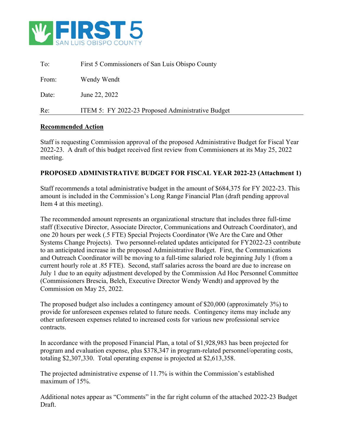

| Re:   | ITEM 5: FY 2022-23 Proposed Administrative Budget |
|-------|---------------------------------------------------|
| Date: | June 22, 2022                                     |
| From: | Wendy Wendt                                       |
| To:   | First 5 Commissioners of San Luis Obispo County   |

#### **Recommended Action**

Staff is requesting Commission approval of the proposed Administrative Budget for Fiscal Year 2022-23. A draft of this budget received first review from Commisioners at its May 25, 2022 meeting.

#### **PROPOSED ADMINISTRATIVE BUDGET FOR FISCAL YEAR 2022-23 (Attachment 1)**

Staff recommends a total administrative budget in the amount of \$684,375 for FY 2022-23. This amount is included in the Commission's Long Range Financial Plan (draft pending approval Item 4 at this meeting).

The recommended amount represents an organizational structure that includes three full-time staff (Executive Director, Associate Director, Communications and Outreach Coordinator), and one 20 hours per week (.5 FTE) Special Projects Coordinator (We Are the Care and Other Systems Change Projects). Two personnel-related updates anticipated for FY2022-23 contribute to an anticipated increase in the proposed Administrative Budget. First, the Communications and Outreach Coordinator will be moving to a full-time salaried role beginning July 1 (from a current hourly role at .85 FTE). Second, staff salaries across the board are due to increase on July 1 due to an equity adjustment developed by the Commission Ad Hoc Personnel Committee (Commissioners Brescia, Belch, Executive Director Wendy Wendt) and approved by the Commission on May 25, 2022.

The proposed budget also includes a contingency amount of \$20,000 (approximately 3%) to provide for unforeseen expenses related to future needs. Contingency items may include any other unforeseen expenses related to increased costs for various new professional service contracts.

In accordance with the proposed Financial Plan, a total of \$1,928,983 has been projected for program and evaluation expense, plus \$378,347 in program-related personnel/operating costs, totaling \$2,307,330. Total operating expense is projected at \$2,613,358.

The projected administrative expense of 11.7% is within the Commission's established maximum of 15%.

Additional notes appear as "Comments" in the far right column of the attached 2022-23 Budget Draft.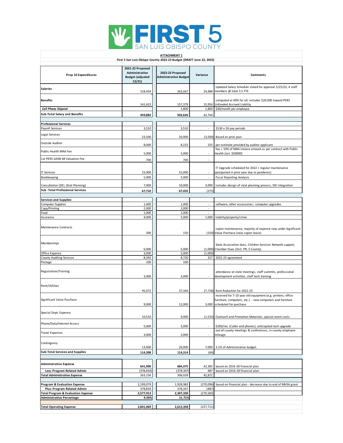

| <b>ATTACHMENT 1</b>                                                               |                                                                        |                                                                     |                                |                                                                                                          |  |  |  |  |  |
|-----------------------------------------------------------------------------------|------------------------------------------------------------------------|---------------------------------------------------------------------|--------------------------------|----------------------------------------------------------------------------------------------------------|--|--|--|--|--|
|                                                                                   |                                                                        | First 5 San Luis Obispo County 2022-23 Budget (DRAFT June 22, 2022) |                                |                                                                                                          |  |  |  |  |  |
|                                                                                   |                                                                        |                                                                     |                                |                                                                                                          |  |  |  |  |  |
| Prop 10 Expenditures                                                              | 2021-22 Proposed<br>Administrative<br><b>Budget (adjusted</b><br>12/21 | 2022-23 Proposed<br><b>Administrative Budget</b>                    | Variance                       | Comments                                                                                                 |  |  |  |  |  |
| <b>Salaries</b>                                                                   | 318,459                                                                | 343,447                                                             | 24,988                         | Updated Salary Schedule slated for approval 5/25/22; 4 staff<br>members @ total 3.5 FTE                  |  |  |  |  |  |
| <b>Benefits</b>                                                                   | 141,423                                                                | 157,379                                                             | 15,956                         | computed at 40% for all; includes \$20,000 toward PERS<br>Unfunded Accrued Liability                     |  |  |  |  |  |
| <b>Cell Phone Stipend</b>                                                         |                                                                        | 1,800                                                               | 1,800                          | \$30/month per employee                                                                                  |  |  |  |  |  |
| <b>Sub-Total Salary and Benefits</b>                                              | 459,882                                                                | 502,626                                                             | 42,744                         |                                                                                                          |  |  |  |  |  |
|                                                                                   |                                                                        |                                                                     |                                |                                                                                                          |  |  |  |  |  |
| <b>Professional Services</b>                                                      |                                                                        |                                                                     |                                |                                                                                                          |  |  |  |  |  |
| Payroll Services                                                                  | 3,510                                                                  | 3,510                                                               | ÷.                             | \$130 x 26 pay periods                                                                                   |  |  |  |  |  |
| Legal Services                                                                    | 23,500                                                                 | 20,000                                                              | (3,500)                        | Based on prior year                                                                                      |  |  |  |  |  |
| Outside Auditor                                                                   | 8,000                                                                  | 8,225                                                               | 225                            | per estimate provided by auditor applicant                                                               |  |  |  |  |  |
| Public Health MAA Fee                                                             | 5,000                                                                  | 5,000                                                               |                                | fee = 10% of MAA invoice amount as per contract with Public<br>Health (est. \$50000)                     |  |  |  |  |  |
| Cal PERS GASB 68 Valuation Fee                                                    |                                                                        |                                                                     |                                |                                                                                                          |  |  |  |  |  |
|                                                                                   | 700                                                                    | 700                                                                 | $\overline{\phantom{a}}$       | IT Upgrade scheduled for 2022 + regular maintenance                                                      |  |  |  |  |  |
| <b>IT Services</b>                                                                | 15,000                                                                 | 15,000                                                              |                                | (postponed in prior year due to pandemic)                                                                |  |  |  |  |  |
| Bookkeeping                                                                       | 5,000                                                                  | 5,000                                                               | $\sim$                         | <b>Fiscal Reporting Analysis</b>                                                                         |  |  |  |  |  |
|                                                                                   |                                                                        |                                                                     |                                |                                                                                                          |  |  |  |  |  |
| Consultation (DEI, Strat Planning)                                                | 7,000                                                                  | 10,000                                                              | 3,000                          | includes design of strat planning process, DEI integration                                               |  |  |  |  |  |
| <b>Sub-Total Professional Services</b>                                            | 67,710                                                                 | 67,435                                                              | (275)                          |                                                                                                          |  |  |  |  |  |
|                                                                                   |                                                                        |                                                                     |                                |                                                                                                          |  |  |  |  |  |
| <b>Services and Supplies</b>                                                      |                                                                        |                                                                     |                                |                                                                                                          |  |  |  |  |  |
| <b>Computer Supplies</b>                                                          | 1,000                                                                  | 1,000<br>2,000                                                      | $\overline{\phantom{a}}$<br>÷. | software, other accessories; computer upgrades                                                           |  |  |  |  |  |
| Copy/Printing<br>Food                                                             | 2,000<br>1,000                                                         | 1,000                                                               | à.                             |                                                                                                          |  |  |  |  |  |
| Insurance                                                                         | 4,000                                                                  | 5,000                                                               | 1,000                          | liability/property/crime                                                                                 |  |  |  |  |  |
| Maintenance Contracts                                                             | 300                                                                    | 150                                                                 |                                | copier maintenance; majority of expense now under Significant<br>(150) Value Purchase (new copier lease) |  |  |  |  |  |
| Memberships                                                                       | 6,000                                                                  | 5,000                                                               |                                | State Association dues, Children Services Network support,<br>(1,000) Chamber Dues (SLO, PR, S County)   |  |  |  |  |  |
| Office Expense                                                                    | 3,000                                                                  | 2,000                                                               | (1,000)                        |                                                                                                          |  |  |  |  |  |
| County Auditing Services                                                          | 8,393                                                                  | 8,720                                                               | 327                            | 2022-23 agreement                                                                                        |  |  |  |  |  |
| Postage                                                                           | 100                                                                    | 100                                                                 | ÷.                             |                                                                                                          |  |  |  |  |  |
| Registration/Training                                                             | 3,000                                                                  | 3,000                                                               |                                | attendance at state meetings, staff summits, professional<br>development activities, staff tech training |  |  |  |  |  |
| Rent/Utilities                                                                    | 45,072                                                                 | 37,344                                                              | (7, 728)                       | Rent Reduction for 2022-23                                                                               |  |  |  |  |  |
|                                                                                   |                                                                        |                                                                     |                                | reserved for 7-10 year old equipment (e.g. printers; office                                              |  |  |  |  |  |
| Significant Value Purchase                                                        | 9,000                                                                  | 12,000                                                              |                                | furniture, computers, etc.) - new computers and furniture<br>3,000 scheduled for purchase                |  |  |  |  |  |
|                                                                                   |                                                                        |                                                                     |                                |                                                                                                          |  |  |  |  |  |
| Special Dept. Expense                                                             | 10,533                                                                 | 9,000                                                               | (1, 533)                       | Outreach and Promotion Materials; special event costs                                                    |  |  |  |  |  |
| Phone/Data/Internet Access                                                        |                                                                        |                                                                     |                                |                                                                                                          |  |  |  |  |  |
|                                                                                   | 5,000                                                                  | 5,000                                                               |                                | \$200/mo. (Cable and phones); anticipated tech upgrade                                                   |  |  |  |  |  |
| <b>Travel Expenses</b>                                                            | 3,000                                                                  | 3,000                                                               |                                | out-of-county meetings & conferences, in-county employee<br>mileage                                      |  |  |  |  |  |
| Contingency                                                                       | 13,000                                                                 | 20,000                                                              | 7,000                          | 3.1% of Administrative budget.                                                                           |  |  |  |  |  |
| <b>Sub-Total Services and Supplies</b>                                            | 114,398                                                                | 114,314                                                             | (84)                           |                                                                                                          |  |  |  |  |  |
|                                                                                   |                                                                        |                                                                     |                                |                                                                                                          |  |  |  |  |  |
| <b>Administrative Expense</b>                                                     | 641,990                                                                | 684,375                                                             | 42,385                         | based on 2016-28 financial plan                                                                          |  |  |  |  |  |
| Less: Program Related Admin                                                       | (378, 834)                                                             | (378, 347)                                                          | 487                            | based on 2016-28 financial plan                                                                          |  |  |  |  |  |
| <b>Total Administrative Expense</b>                                               | 263,156                                                                | 306,028                                                             | 42,872                         |                                                                                                          |  |  |  |  |  |
|                                                                                   |                                                                        |                                                                     |                                |                                                                                                          |  |  |  |  |  |
| <b>Program &amp; Evaluation Expense</b>                                           | 2,199,079                                                              | 1,928,983                                                           | (270,096)                      | based on financial plan - decrease due to end of MHSA grant                                              |  |  |  |  |  |
| Plus: Program Related Admin                                                       | 378,834                                                                | 378,347                                                             | (487)                          |                                                                                                          |  |  |  |  |  |
| <b>Total Program &amp; Evaluation Expense</b><br><b>Administrative Percentage</b> | 2,577,913<br>9.26%                                                     | 2,307,330<br>11.71%                                                 | (270, 583)                     |                                                                                                          |  |  |  |  |  |
|                                                                                   |                                                                        |                                                                     |                                |                                                                                                          |  |  |  |  |  |
| <b>Total Operating Expense</b>                                                    | 2,841,069                                                              | 2,613,358                                                           | (227, 711)                     |                                                                                                          |  |  |  |  |  |
|                                                                                   |                                                                        |                                                                     |                                |                                                                                                          |  |  |  |  |  |